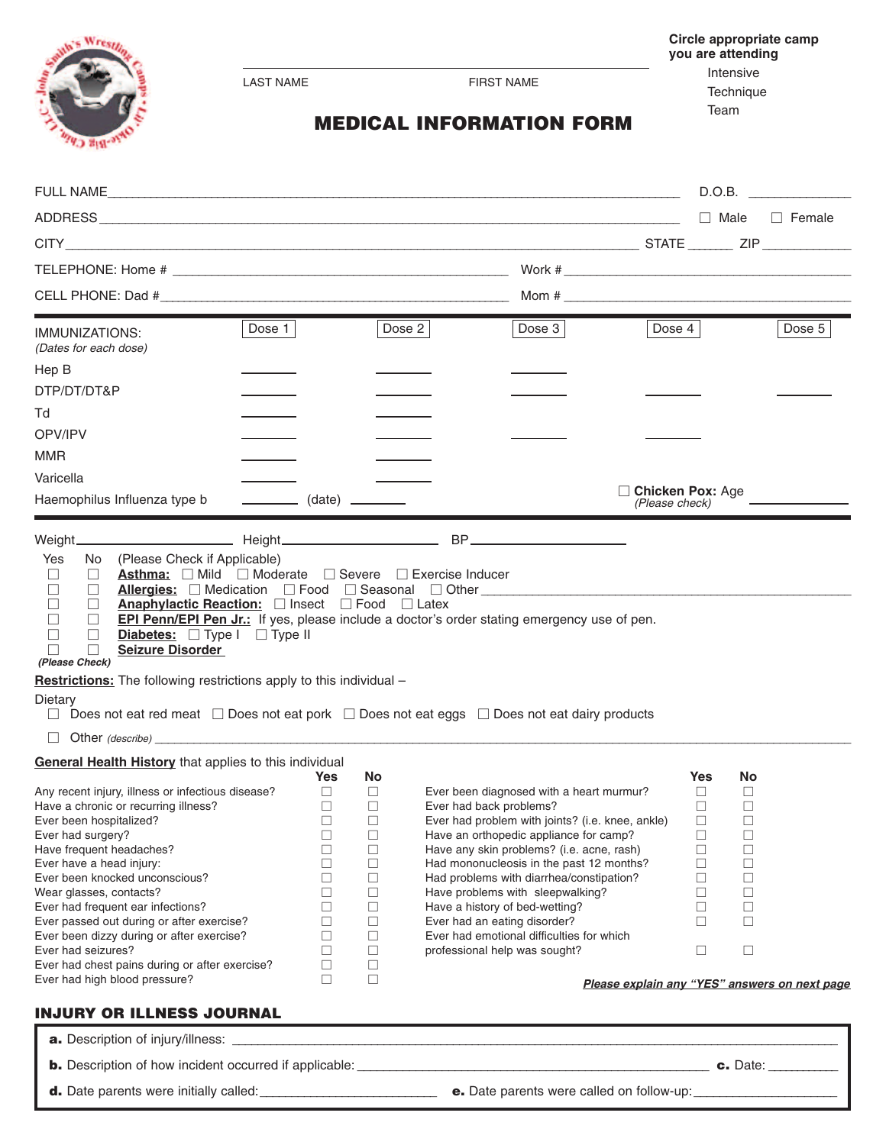

LAST NAME FIRST NAME

**Circle appropriate camp you are attending**

> Intensive Technique Team

**MEDICAL INFORMATION FORM**

|                                                                                                                                                                                                                                                                                                                                                                                                                                                                                                        |                                                                                               |                                                                                                  |                                                                                                                                                                                                                                                                                                                                                                                                                                                                                            |                                                                                             |                                                                                   | D.O.B.                                        |
|--------------------------------------------------------------------------------------------------------------------------------------------------------------------------------------------------------------------------------------------------------------------------------------------------------------------------------------------------------------------------------------------------------------------------------------------------------------------------------------------------------|-----------------------------------------------------------------------------------------------|--------------------------------------------------------------------------------------------------|--------------------------------------------------------------------------------------------------------------------------------------------------------------------------------------------------------------------------------------------------------------------------------------------------------------------------------------------------------------------------------------------------------------------------------------------------------------------------------------------|---------------------------------------------------------------------------------------------|-----------------------------------------------------------------------------------|-----------------------------------------------|
|                                                                                                                                                                                                                                                                                                                                                                                                                                                                                                        |                                                                                               |                                                                                                  |                                                                                                                                                                                                                                                                                                                                                                                                                                                                                            |                                                                                             | $\Box$ Male                                                                       | $\Box$ Female                                 |
|                                                                                                                                                                                                                                                                                                                                                                                                                                                                                                        |                                                                                               |                                                                                                  |                                                                                                                                                                                                                                                                                                                                                                                                                                                                                            |                                                                                             |                                                                                   |                                               |
|                                                                                                                                                                                                                                                                                                                                                                                                                                                                                                        |                                                                                               |                                                                                                  |                                                                                                                                                                                                                                                                                                                                                                                                                                                                                            |                                                                                             |                                                                                   |                                               |
|                                                                                                                                                                                                                                                                                                                                                                                                                                                                                                        |                                                                                               |                                                                                                  |                                                                                                                                                                                                                                                                                                                                                                                                                                                                                            |                                                                                             |                                                                                   |                                               |
|                                                                                                                                                                                                                                                                                                                                                                                                                                                                                                        |                                                                                               |                                                                                                  | Mom # $\frac{1}{2}$ . The set of the set of the set of the set of the set of the set of the set of the set of the set of the set of the set of the set of the set of the set of the set of the set of the set of the set of the s                                                                                                                                                                                                                                                          |                                                                                             |                                                                                   |                                               |
| Dose 1<br>IMMUNIZATIONS:<br>(Dates for each dose)                                                                                                                                                                                                                                                                                                                                                                                                                                                      |                                                                                               | Dose $2 $                                                                                        | Dose $3$                                                                                                                                                                                                                                                                                                                                                                                                                                                                                   | Dose $4$                                                                                    |                                                                                   | Dose $5$                                      |
| Hep B                                                                                                                                                                                                                                                                                                                                                                                                                                                                                                  |                                                                                               |                                                                                                  |                                                                                                                                                                                                                                                                                                                                                                                                                                                                                            |                                                                                             |                                                                                   |                                               |
| DTP/DT/DT&P                                                                                                                                                                                                                                                                                                                                                                                                                                                                                            |                                                                                               |                                                                                                  |                                                                                                                                                                                                                                                                                                                                                                                                                                                                                            |                                                                                             |                                                                                   |                                               |
| Td                                                                                                                                                                                                                                                                                                                                                                                                                                                                                                     |                                                                                               |                                                                                                  |                                                                                                                                                                                                                                                                                                                                                                                                                                                                                            |                                                                                             |                                                                                   |                                               |
| OPV/IPV                                                                                                                                                                                                                                                                                                                                                                                                                                                                                                |                                                                                               |                                                                                                  |                                                                                                                                                                                                                                                                                                                                                                                                                                                                                            |                                                                                             |                                                                                   |                                               |
| MMR                                                                                                                                                                                                                                                                                                                                                                                                                                                                                                    |                                                                                               |                                                                                                  |                                                                                                                                                                                                                                                                                                                                                                                                                                                                                            |                                                                                             |                                                                                   |                                               |
| Varicella                                                                                                                                                                                                                                                                                                                                                                                                                                                                                              |                                                                                               |                                                                                                  |                                                                                                                                                                                                                                                                                                                                                                                                                                                                                            |                                                                                             |                                                                                   |                                               |
|                                                                                                                                                                                                                                                                                                                                                                                                                                                                                                        |                                                                                               |                                                                                                  |                                                                                                                                                                                                                                                                                                                                                                                                                                                                                            | <b>Chicken Pox: Age</b>                                                                     |                                                                                   |                                               |
| Haemophilus Influenza type b                                                                                                                                                                                                                                                                                                                                                                                                                                                                           |                                                                                               | $\frac{\phantom{aaaa}}{\phantom{aaaa}}$ (date) $\phantom{aaaa}$                                  |                                                                                                                                                                                                                                                                                                                                                                                                                                                                                            | (Please check)                                                                              |                                                                                   |                                               |
| <b>Asthma:</b> Mild Moderate Severe Exercise Inducer<br>$\Box$<br>$\Box$<br>$\Box$<br>$\Box$<br><b>Anaphylactic Reaction:</b> Insect <b>I</b> Food II Latex<br>$\Box$<br>$\Box$<br>$\Box$<br>П<br>Diabetes: $\Box$ Type I $\Box$ Type II<br>$\Box$<br>П<br><b>Seizure Disorder</b><br>$\Box$<br>(Please Check)<br>Restrictions: The following restrictions apply to this individual -<br>Dietary                                                                                                       |                                                                                               |                                                                                                  | Allergies: Medication $\Box$ Food $\Box$ Seasonal $\Box$ Other<br><b>EPI Penn/EPI Pen Jr.:</b> If yes, please include a doctor's order stating emergency use of pen.<br>Does not eat red meat  □ Does not eat pork  □ Does not eat eggs  □ Does not eat dairy products                                                                                                                                                                                                                     |                                                                                             |                                                                                   |                                               |
| Other (describe)<br>$\Box$                                                                                                                                                                                                                                                                                                                                                                                                                                                                             |                                                                                               |                                                                                                  |                                                                                                                                                                                                                                                                                                                                                                                                                                                                                            |                                                                                             |                                                                                   |                                               |
| <b>General Health History</b> that applies to this individual                                                                                                                                                                                                                                                                                                                                                                                                                                          | Yes                                                                                           | No.                                                                                              |                                                                                                                                                                                                                                                                                                                                                                                                                                                                                            | Yes                                                                                         | <b>No</b>                                                                         |                                               |
| Any recent injury, illness or infectious disease?<br>Have a chronic or recurring illness?<br>Ever been hospitalized?<br>Ever had surgery?<br>Have frequent headaches?<br>Ever have a head injury:<br>Ever been knocked unconscious?<br>Wear glasses, contacts?<br>Ever had frequent ear infections?<br>Ever passed out during or after exercise?<br>Ever been dizzy during or after exercise?<br>Ever had seizures?<br>Ever had chest pains during or after exercise?<br>Ever had high blood pressure? | $\Box$<br>$\Box$ $\Box$<br>□<br>□<br>□<br>$\Box$<br>□<br>П<br>$\Box$<br>□<br>□<br>□<br>□<br>□ | $\Box$<br>□<br>□<br>$\Box$<br>□<br>$\Box$<br>$\Box$<br>□<br>$\Box$<br>$\Box$<br>□<br>$\Box$<br>□ | Ever been diagnosed with a heart murmur?<br>Ever had back problems?<br>Ever had problem with joints? (i.e. knee, ankle)<br>Have an orthopedic appliance for camp?<br>Have any skin problems? (i.e. acne, rash)<br>Had mononucleosis in the past 12 months?<br>Had problems with diarrhea/constipation?<br>Have problems with sleepwalking?<br>Have a history of bed-wetting?<br>Ever had an eating disorder?<br>Ever had emotional difficulties for which<br>professional help was sought? | $\Box$<br>$\Box$<br>$\Box$<br>$\Box$<br>□<br>$\Box$<br>□<br>$\Box$<br>$\Box$<br>□<br>$\Box$ | □<br>$\Box$<br>$\Box$<br>$\Box$<br>$\Box$<br>□<br>$\Box$<br>□<br>□<br>$\Box$<br>□ |                                               |
|                                                                                                                                                                                                                                                                                                                                                                                                                                                                                                        |                                                                                               |                                                                                                  |                                                                                                                                                                                                                                                                                                                                                                                                                                                                                            |                                                                                             |                                                                                   | Please explain any "YES" answers on next page |

## **INJURY OR ILLNESS JOURNAL**

| <b>a.</b> Description of injury/illness:                      |                                                  |          |
|---------------------------------------------------------------|--------------------------------------------------|----------|
| <b>b.</b> Description of how incident occurred if applicable: |                                                  | c. Date: |
| <b>d.</b> Date parents were initially called:                 | <b>e.</b> Date parents were called on follow-up: |          |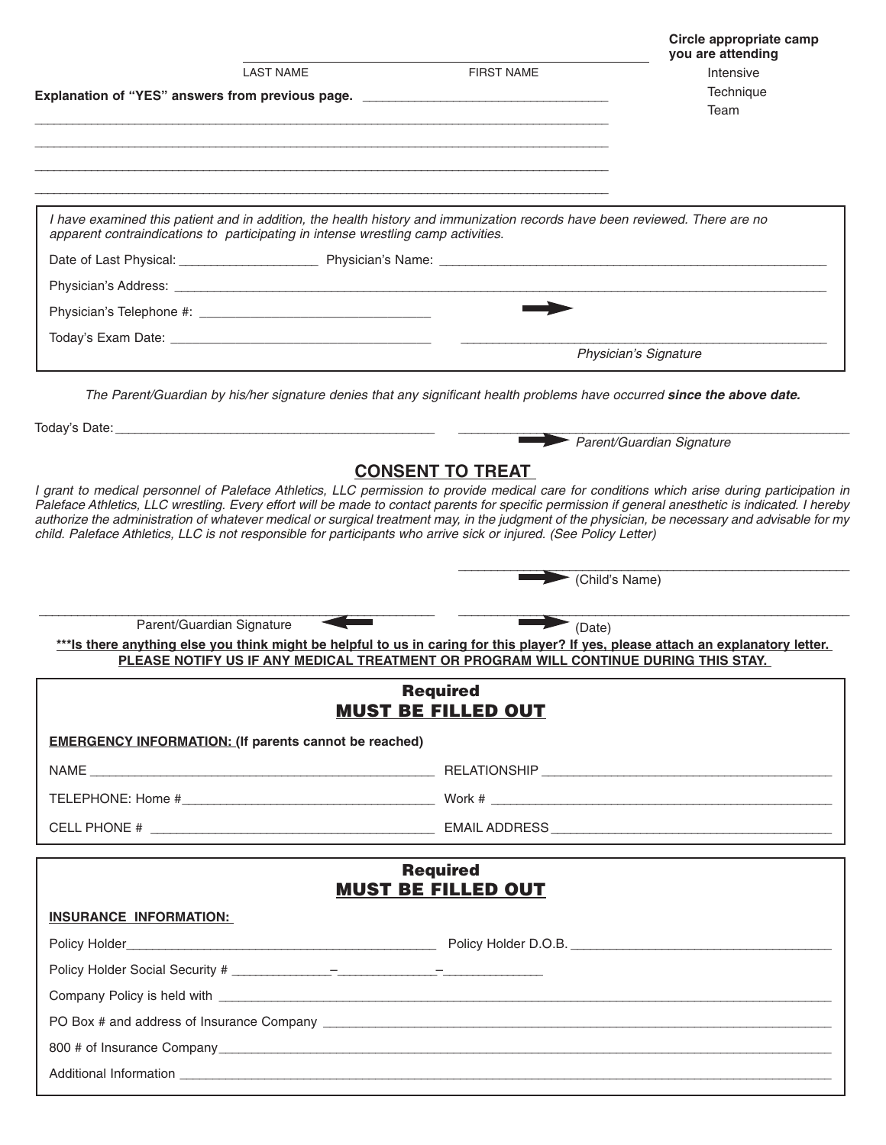|                                                                                                                                                                                                                                                                                                                                                                                                                                                                                                                                                                                |                                              | Circle appropriate camp<br>you are attending |
|--------------------------------------------------------------------------------------------------------------------------------------------------------------------------------------------------------------------------------------------------------------------------------------------------------------------------------------------------------------------------------------------------------------------------------------------------------------------------------------------------------------------------------------------------------------------------------|----------------------------------------------|----------------------------------------------|
| <b>LAST NAME</b>                                                                                                                                                                                                                                                                                                                                                                                                                                                                                                                                                               | <b>FIRST NAME</b>                            | Intensive                                    |
| Explanation of "YES" answers from previous page. _______________________________                                                                                                                                                                                                                                                                                                                                                                                                                                                                                               |                                              | Technique<br>Team                            |
|                                                                                                                                                                                                                                                                                                                                                                                                                                                                                                                                                                                |                                              |                                              |
|                                                                                                                                                                                                                                                                                                                                                                                                                                                                                                                                                                                |                                              |                                              |
|                                                                                                                                                                                                                                                                                                                                                                                                                                                                                                                                                                                |                                              |                                              |
| I have examined this patient and in addition, the health history and immunization records have been reviewed. There are no<br>apparent contraindications to participating in intense wrestling camp activities.                                                                                                                                                                                                                                                                                                                                                                |                                              |                                              |
|                                                                                                                                                                                                                                                                                                                                                                                                                                                                                                                                                                                |                                              |                                              |
|                                                                                                                                                                                                                                                                                                                                                                                                                                                                                                                                                                                |                                              |                                              |
|                                                                                                                                                                                                                                                                                                                                                                                                                                                                                                                                                                                |                                              |                                              |
|                                                                                                                                                                                                                                                                                                                                                                                                                                                                                                                                                                                |                                              |                                              |
|                                                                                                                                                                                                                                                                                                                                                                                                                                                                                                                                                                                |                                              | Physician's Signature                        |
| The Parent/Guardian by his/her signature denies that any significant health problems have occurred since the above date.                                                                                                                                                                                                                                                                                                                                                                                                                                                       |                                              |                                              |
|                                                                                                                                                                                                                                                                                                                                                                                                                                                                                                                                                                                |                                              |                                              |
|                                                                                                                                                                                                                                                                                                                                                                                                                                                                                                                                                                                |                                              | Parent/Guardian Signature                    |
|                                                                                                                                                                                                                                                                                                                                                                                                                                                                                                                                                                                | <b>CONSENT TO TREAT</b>                      |                                              |
| Parent/Guardian Signature<br>*** Is there anything else you think might be helpful to us in caring for this player? If yes, please attach an explanatory letter.                                                                                                                                                                                                                                                                                                                                                                                                               | (Date)                                       | $\blacktriangleright$ (Child's Name)         |
| PLEASE NOTIFY US IF ANY MEDICAL TREATMENT OR PROGRAM WILL CONTINUE DURING THIS STAY.                                                                                                                                                                                                                                                                                                                                                                                                                                                                                           |                                              |                                              |
|                                                                                                                                                                                                                                                                                                                                                                                                                                                                                                                                                                                | <b>Required</b><br><b>MUST BE FILLED OUT</b> |                                              |
| <b>EMERGENCY INFORMATION: (If parents cannot be reached)</b>                                                                                                                                                                                                                                                                                                                                                                                                                                                                                                                   |                                              |                                              |
|                                                                                                                                                                                                                                                                                                                                                                                                                                                                                                                                                                                |                                              |                                              |
|                                                                                                                                                                                                                                                                                                                                                                                                                                                                                                                                                                                |                                              |                                              |
| I grant to medical personnel of Paleface Athletics, LLC permission to provide medical care for conditions which arise during participation in<br>Paleface Athletics, LLC wrestling. Every effort will be made to contact parents for specific permission if general anesthetic is indicated. I hereby<br>authorize the administration of whatever medical or surgical treatment may, in the judgment of the physician, be necessary and advisable for my<br>child. Paleface Athletics, LLC is not responsible for participants who arrive sick or injured. (See Policy Letter) |                                              |                                              |
|                                                                                                                                                                                                                                                                                                                                                                                                                                                                                                                                                                                | <b>Required</b>                              |                                              |
|                                                                                                                                                                                                                                                                                                                                                                                                                                                                                                                                                                                | <b>MUST BE FILLED OUT</b>                    |                                              |
| <b>INSURANCE INFORMATION:</b>                                                                                                                                                                                                                                                                                                                                                                                                                                                                                                                                                  |                                              |                                              |
|                                                                                                                                                                                                                                                                                                                                                                                                                                                                                                                                                                                |                                              |                                              |
|                                                                                                                                                                                                                                                                                                                                                                                                                                                                                                                                                                                |                                              |                                              |
|                                                                                                                                                                                                                                                                                                                                                                                                                                                                                                                                                                                |                                              |                                              |
|                                                                                                                                                                                                                                                                                                                                                                                                                                                                                                                                                                                |                                              |                                              |
|                                                                                                                                                                                                                                                                                                                                                                                                                                                                                                                                                                                |                                              |                                              |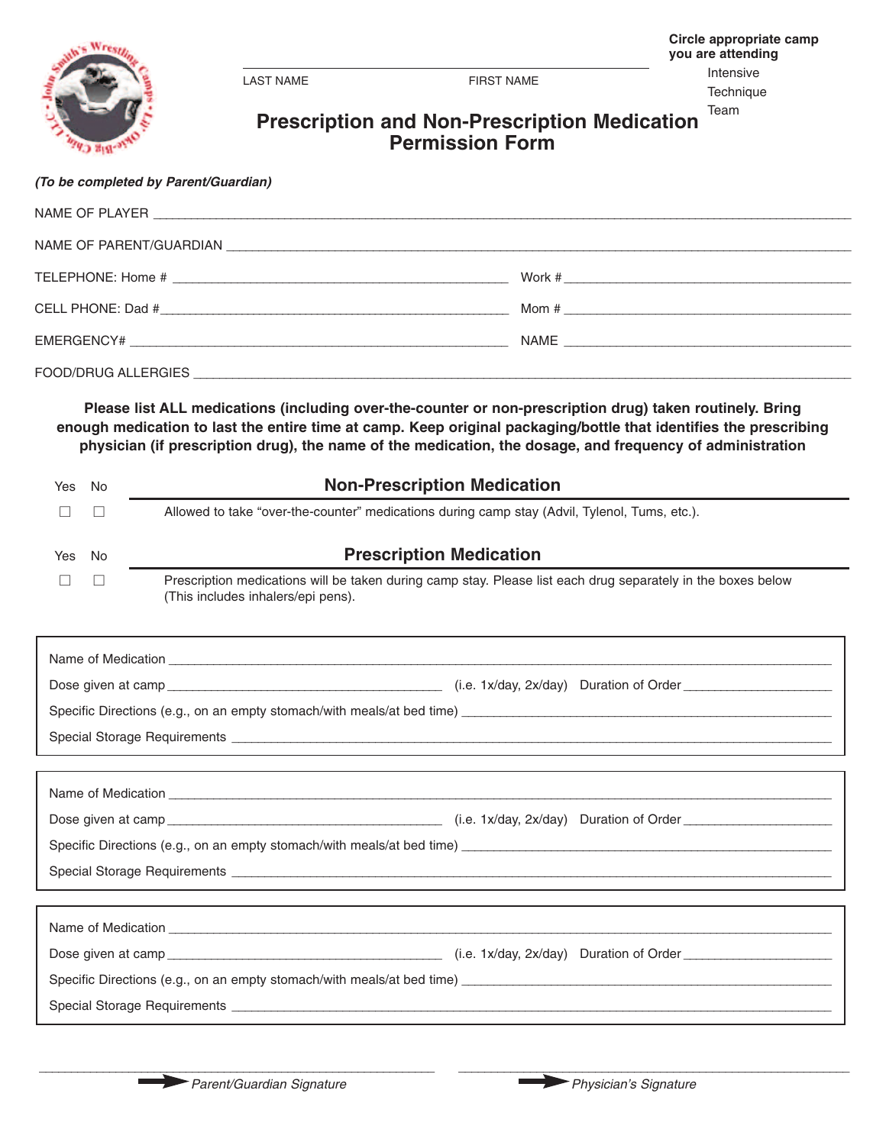LAST NAME FIRST NAME

**Technique** 

## Team **Prescription and Non-Prescription Medication Permission Form**

## *(To be completed by Parent/Guardian)*

Wre

| NAME OF PLAYER PLAYER ALL ACCOUNTS AND A CONTROL CONTROL CONTROL CONTROL CONTROL CONTROL CONTROL CONTROL CONTROL CONTROL CONTROL CONTROL CONTROL CONTROL CONTROL CONTROL CONTROL CONTROL CONTROL CONTROL CONTROL CONTROL CONTR |                                                                                                                                                                                                                                                                                                                                             |
|--------------------------------------------------------------------------------------------------------------------------------------------------------------------------------------------------------------------------------|---------------------------------------------------------------------------------------------------------------------------------------------------------------------------------------------------------------------------------------------------------------------------------------------------------------------------------------------|
|                                                                                                                                                                                                                                |                                                                                                                                                                                                                                                                                                                                             |
|                                                                                                                                                                                                                                |                                                                                                                                                                                                                                                                                                                                             |
|                                                                                                                                                                                                                                | Mom # $\qquad \qquad$ $\qquad$ $\qquad$ $\qquad$ $\qquad$ $\qquad$ $\qquad$ $\qquad$ $\qquad$ $\qquad$ $\qquad$ $\qquad$ $\qquad$ $\qquad$ $\qquad$ $\qquad$ $\qquad$ $\qquad$ $\qquad$ $\qquad$ $\qquad$ $\qquad$ $\qquad$ $\qquad$ $\qquad$ $\qquad$ $\qquad$ $\qquad$ $\qquad$ $\qquad$ $\qquad$ $\qquad$ $\qquad$ $\qquad$ $\qquad$ $\$ |
|                                                                                                                                                                                                                                |                                                                                                                                                                                                                                                                                                                                             |
|                                                                                                                                                                                                                                |                                                                                                                                                                                                                                                                                                                                             |
|                                                                                                                                                                                                                                |                                                                                                                                                                                                                                                                                                                                             |

**Please list ALL medications (including over-the-counter or non-prescription drug) taken routinely. Bring** enough medication to last the entire time at camp. Keep original packaging/bottle that identifies the prescribing **physician (if prescription drug), the name of the medication, the dosage, and frequency of administration**

| Yes                                                                              | No | <b>Non-Prescription Medication</b>                                                                                                                                                                                             |  |  |  |
|----------------------------------------------------------------------------------|----|--------------------------------------------------------------------------------------------------------------------------------------------------------------------------------------------------------------------------------|--|--|--|
|                                                                                  |    | Allowed to take "over-the-counter" medications during camp stay (Advil, Tylenol, Tums, etc.).                                                                                                                                  |  |  |  |
| Yes                                                                              | No | <b>Prescription Medication</b>                                                                                                                                                                                                 |  |  |  |
|                                                                                  | H  | Prescription medications will be taken during camp stay. Please list each drug separately in the boxes below<br>(This includes inhalers/epi pens).                                                                             |  |  |  |
|                                                                                  |    | Name of Medication <b>Constitution Material Constitution Constitution Constitution Constitution Constitution Constitution Constitution Constitution Constitution Constitution Constitution Constitution</b>                    |  |  |  |
|                                                                                  |    |                                                                                                                                                                                                                                |  |  |  |
|                                                                                  |    |                                                                                                                                                                                                                                |  |  |  |
| ,我们也不会有什么。""我们的人,我们也不会有什么?""我们的人,我们也不会有什么?""我们的人,我们也不会有什么?""我们的人,我们也不会有什么?""我们的人 |    |                                                                                                                                                                                                                                |  |  |  |
|                                                                                  |    |                                                                                                                                                                                                                                |  |  |  |
|                                                                                  |    | Name of Medication experience and the contract of the contract of the contract of the contract of the contract of the contract of the contract of the contract of the contract of the contract of the contract of the contract |  |  |  |
|                                                                                  |    |                                                                                                                                                                                                                                |  |  |  |
|                                                                                  |    |                                                                                                                                                                                                                                |  |  |  |
|                                                                                  |    |                                                                                                                                                                                                                                |  |  |  |
|                                                                                  |    |                                                                                                                                                                                                                                |  |  |  |
| Name of Medication                                                               |    |                                                                                                                                                                                                                                |  |  |  |

| THUITIV VI INVUIVUUVIT                                                 |                                           |  |  |  |  |  |
|------------------------------------------------------------------------|-------------------------------------------|--|--|--|--|--|
| Dose given at camp                                                     | $(i.e. 1x/day, 2x/day)$ Duration of Order |  |  |  |  |  |
| Specific Directions (e.g., on an empty stomach/with meals/at bed time) |                                           |  |  |  |  |  |
| Special Storage Requirements                                           |                                           |  |  |  |  |  |

\_\_\_\_\_\_\_\_\_\_\_\_\_\_\_\_\_\_\_\_\_\_\_\_\_\_\_\_\_\_\_\_\_\_\_\_\_\_\_\_\_\_\_\_\_\_\_\_\_\_\_\_\_\_\_\_\_\_\_\_\_\_ \_\_\_\_\_\_\_\_\_\_\_\_\_\_\_\_\_\_\_\_\_\_\_\_\_\_\_\_\_\_\_\_\_\_\_\_\_\_\_\_\_\_\_\_\_\_\_\_\_\_\_\_\_\_\_\_\_\_\_\_